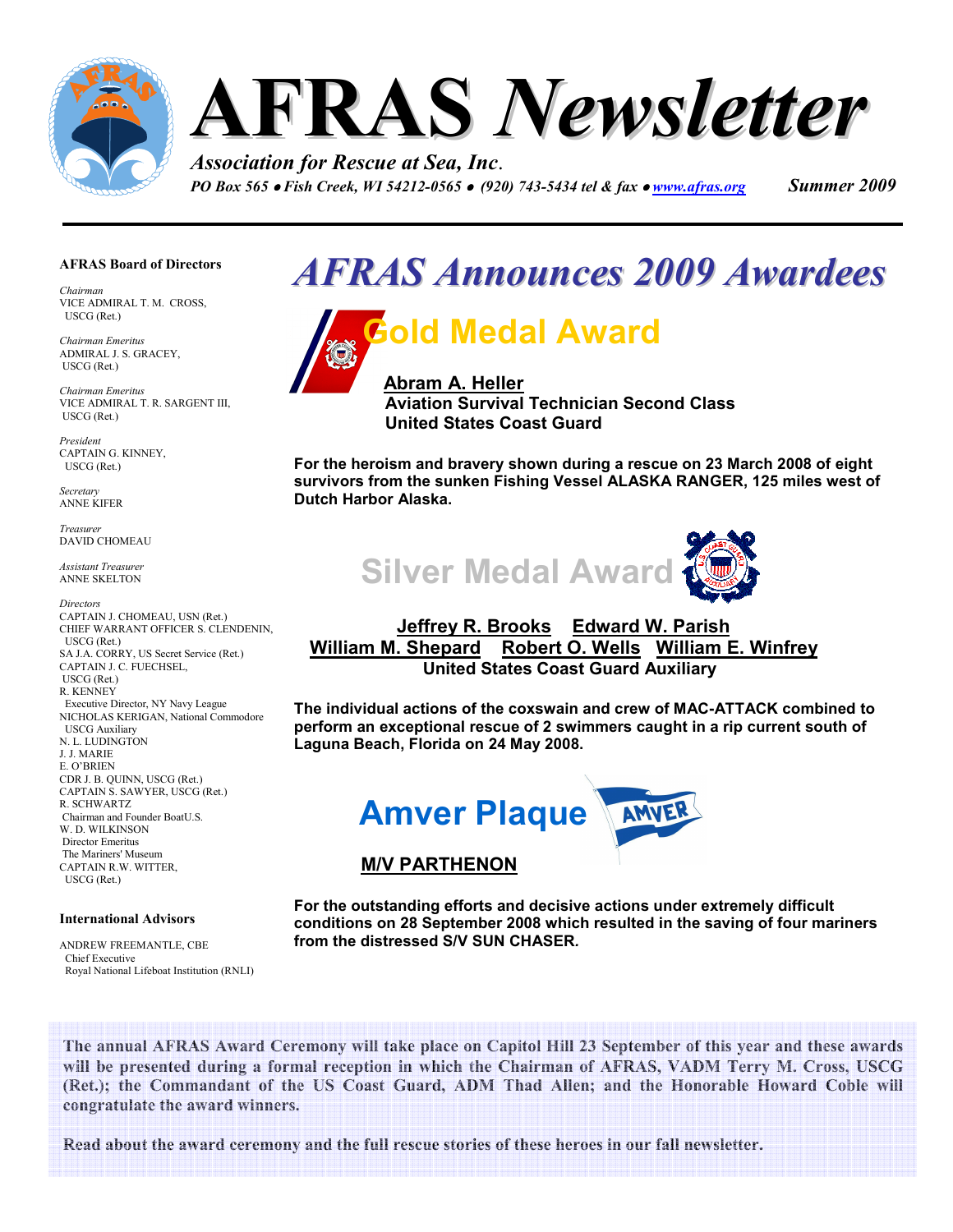

#### AFRAS Board of Directors

Chairman VICE ADMIRAL T. M. CROSS, USCG (Ret.)

Chairman Emeritus ADMIRAL J. S. GRACEY, USCG (Ret.)

Chairman Emeritus VICE ADMIRAL T. R. SARGENT III, USCG (Ret.)

President CAPTAIN G. KINNEY, USCG (Ret.)

Secretary ANNE KIFER

Treasurer DAVID CHOMEAU

Assistant Treasurer ANNE SKELTON

**Directors** CAPTAIN J. CHOMEAU, USN (Ret.) CHIEF WARRANT OFFICER S. CLENDENIN, USCG (Ret.) SA J.A. CORRY, US Secret Service (Ret.) CAPTAIN J. C. FUECHSEL, USCG (Ret.) R. KENNEY Executive Director, NY Navy League NICHOLAS KERIGAN, National Commodore USCG Auxiliary N. L. LUDINGTON J. J. MARIE E. O'BRIEN CDR J. B. QUINN, USCG (Ret.) CAPTAIN S. SAWYER, USCG (Ret.) R. SCHWARTZ Chairman and Founder BoatU.S. W. D. WILKINSON Director Emeritus The Mariners' Museum CAPTAIN R.W. WITTER, USCG (Ret.)

#### International Advisors

ANDREW FREEMANTLE, CBE Chief Executive Royal National Lifeboat Institution (RNLI)

## AFRAS Announces 2009 Awardees Ĩ



Aviation Survival Technician Second Class United States Coast Guard

For the heroism and bravery shown during a rescue on 23 March 2008 of eight survivors from the sunken Fishing Vessel ALASKA RANGER, 125 miles west of Dutch Harbor Alaska.



### Jeffrey R. Brooks Edward W. Parish William M. Shepard Robert O. Wells William E. Winfrey United States Coast Guard Auxiliary

The individual actions of the coxswain and crew of MAC-ATTACK combined to perform an exceptional rescue of 2 swimmers caught in a rip current south of Laguna Beach, Florida on 24 May 2008.



### M/V PARTHENON

For the outstanding efforts and decisive actions under extremely difficult conditions on 28 September 2008 which resulted in the saving of four mariners from the distressed S/V SUN CHASER.

The annual AFRAS Award Ceremony will take place on Capitol Hill 23 September of this year and these awards will be presented during a formal reception in which the Chairman of AFRAS, VADM Terry M. Cross, USCG (Ret.); the Commandant of the US Coast Guard, ADM Thad Allen; and the Honorable Howard Coble will congratulate the award winners.

Read about the award ceremony and the full rescue stories of these heroes in our fall newsletter.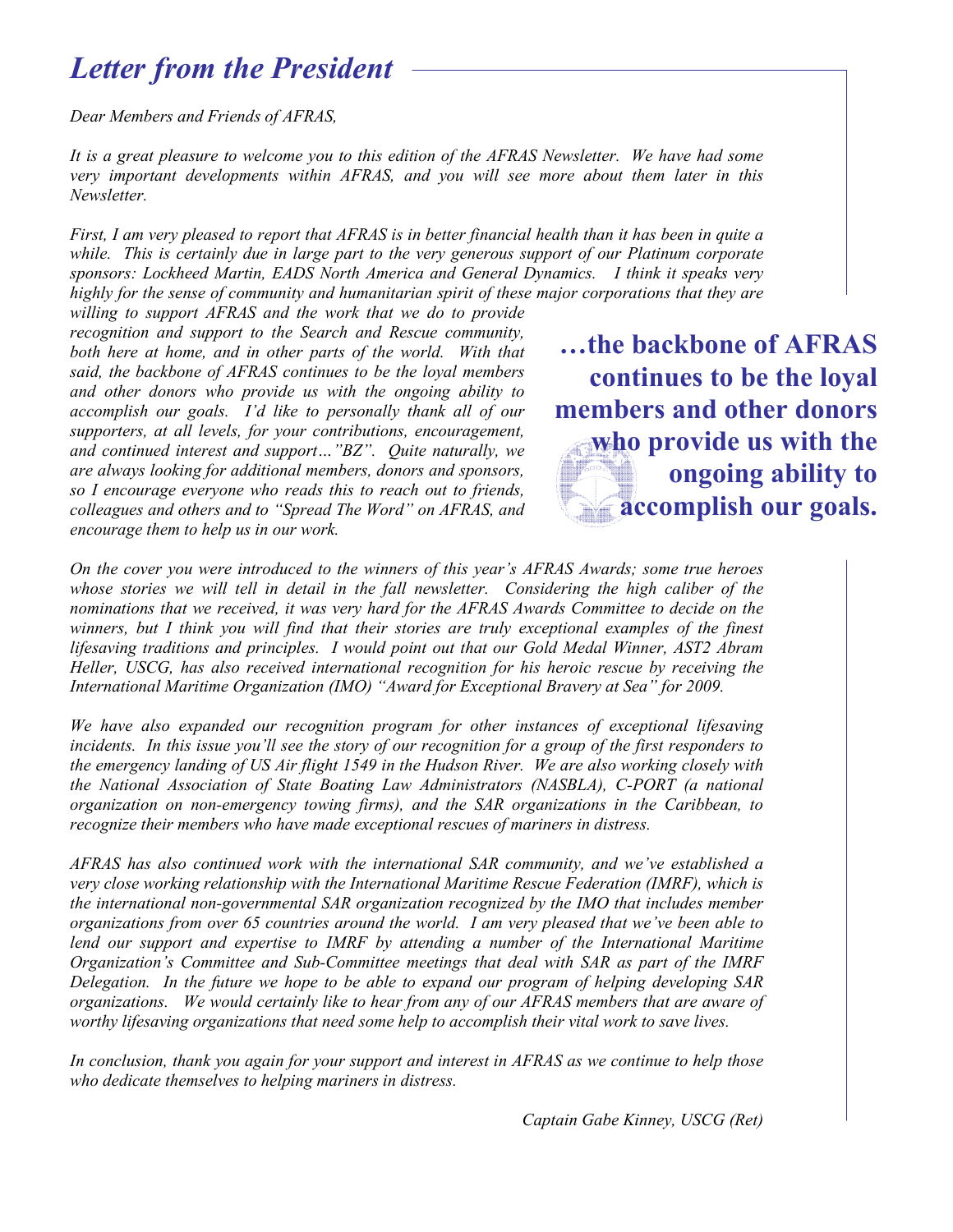## Letter from the President

Dear Members and Friends of AFRAS,

It is a great pleasure to welcome you to this edition of the AFRAS Newsletter. We have had some very important developments within AFRAS, and you will see more about them later in this Newsletter.

First, I am very pleased to report that AFRAS is in better financial health than it has been in quite a while. This is certainly due in large part to the very generous support of our Platinum corporate sponsors: Lockheed Martin, EADS North America and General Dynamics. I think it speaks very highly for the sense of community and humanitarian spirit of these major corporations that they are

willing to support AFRAS and the work that we do to provide recognition and support to the Search and Rescue community, both here at home, and in other parts of the world. With that said, the backbone of AFRAS continues to be the loyal members and other donors who provide us with the ongoing ability to accomplish our goals. I'd like to personally thank all of our supporters, at all levels, for your contributions, encouragement, and continued interest and support…"BZ". Quite naturally, we are always looking for additional members, donors and sponsors, so I encourage everyone who reads this to reach out to friends, colleagues and others and to "Spread The Word" on AFRAS, and encourage them to help us in our work.

…the backbone of AFRAS continues to be the loyal members and other donors who provide us with the ongoing ability to accomplish our goals.

On the cover you were introduced to the winners of this year's AFRAS Awards; some true heroes whose stories we will tell in detail in the fall newsletter. Considering the high caliber of the nominations that we received, it was very hard for the AFRAS Awards Committee to decide on the winners, but I think you will find that their stories are truly exceptional examples of the finest lifesaving traditions and principles. I would point out that our Gold Medal Winner, AST2 Abram Heller, USCG, has also received international recognition for his heroic rescue by receiving the International Maritime Organization (IMO) "Award for Exceptional Bravery at Sea" for 2009.

We have also expanded our recognition program for other instances of exceptional lifesaving incidents. In this issue you'll see the story of our recognition for a group of the first responders to the emergency landing of US Air flight 1549 in the Hudson River. We are also working closely with the National Association of State Boating Law Administrators (NASBLA), C-PORT (a national organization on non-emergency towing firms), and the SAR organizations in the Caribbean, to recognize their members who have made exceptional rescues of mariners in distress.

AFRAS has also continued work with the international SAR community, and we've established a very close working relationship with the International Maritime Rescue Federation (IMRF), which is the international non-governmental SAR organization recognized by the IMO that includes member organizations from over 65 countries around the world. I am very pleased that we've been able to lend our support and expertise to IMRF by attending a number of the International Maritime Organization's Committee and Sub-Committee meetings that deal with SAR as part of the IMRF Delegation. In the future we hope to be able to expand our program of helping developing SAR organizations. We would certainly like to hear from any of our AFRAS members that are aware of worthy lifesaving organizations that need some help to accomplish their vital work to save lives.

In conclusion, thank you again for your support and interest in AFRAS as we continue to help those who dedicate themselves to helping mariners in distress.

Captain Gabe Kinney, USCG (Ret)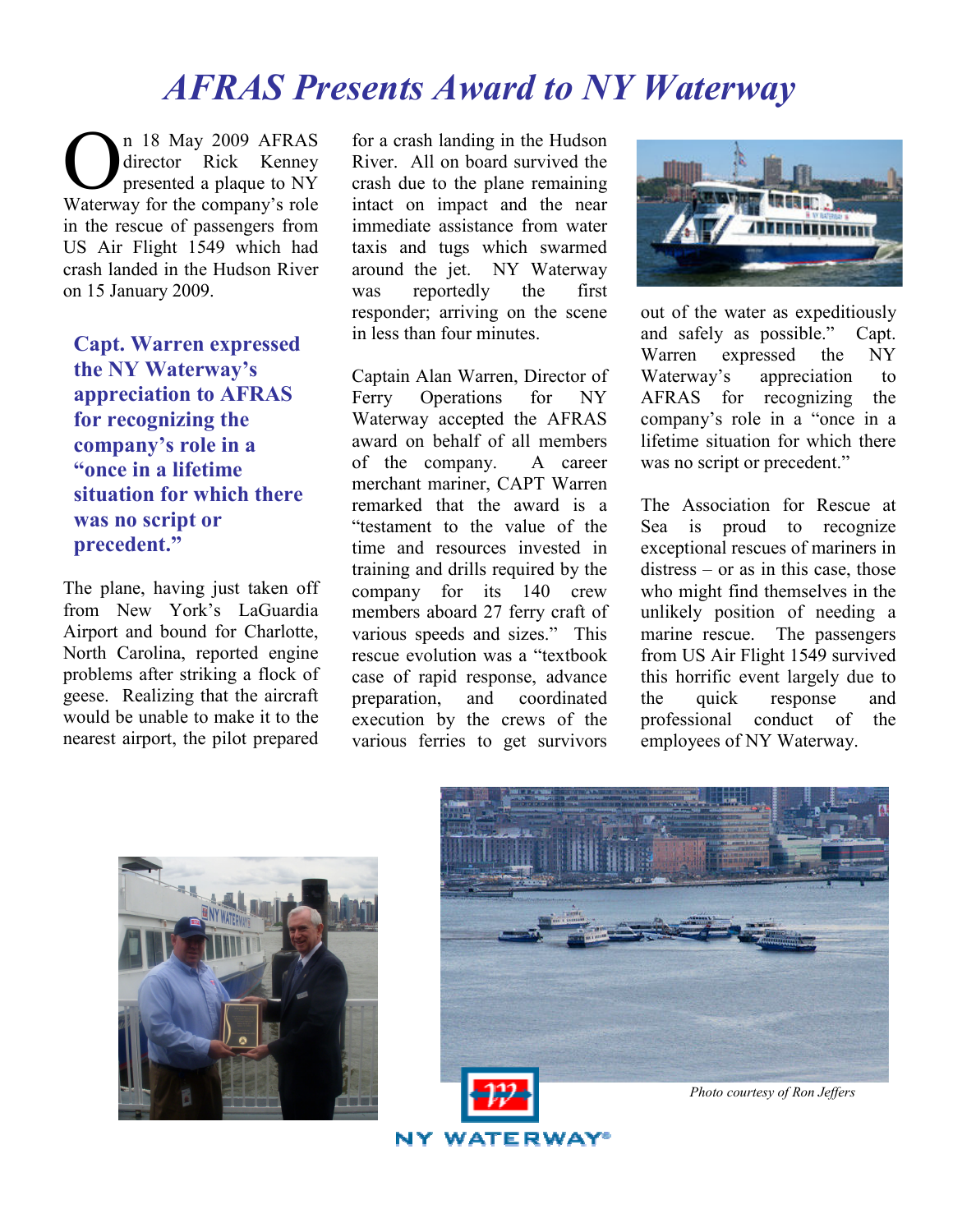# AFRAS Presents Award to NY Waterway

n 18 May 2009 AFRAS director Rick Kenney presented a plaque to NY Waterway for the company's role O in the rescue of passengers from US Air Flight 1549 which had crash landed in the Hudson River on 15 January 2009.

Capt. Warren expressed the NY Waterway's appreciation to AFRAS for recognizing the company's role in a "once in a lifetime situation for which there was no script or precedent."

The plane, having just taken off from New York's LaGuardia Airport and bound for Charlotte, North Carolina, reported engine problems after striking a flock of geese. Realizing that the aircraft would be unable to make it to the nearest airport, the pilot prepared

for a crash landing in the Hudson River. All on board survived the crash due to the plane remaining intact on impact and the near immediate assistance from water taxis and tugs which swarmed around the jet. NY Waterway was reportedly the first responder; arriving on the scene in less than four minutes.

Captain Alan Warren, Director of Ferry Operations for NY Waterway accepted the AFRAS award on behalf of all members of the company. A career merchant mariner, CAPT Warren remarked that the award is a "testament to the value of the time and resources invested in training and drills required by the company for its 140 crew members aboard 27 ferry craft of various speeds and sizes." This rescue evolution was a "textbook case of rapid response, advance preparation, and coordinated execution by the crews of the various ferries to get survivors



out of the water as expeditiously and safely as possible." Capt. Warren expressed the NY Waterway's appreciation to AFRAS for recognizing the company's role in a "once in a lifetime situation for which there was no script or precedent."

The Association for Rescue at Sea is proud to recognize exceptional rescues of mariners in distress – or as in this case, those who might find themselves in the unlikely position of needing a marine rescue. The passengers from US Air Flight 1549 survived this horrific event largely due to the quick response and professional conduct of the employees of NY Waterway.